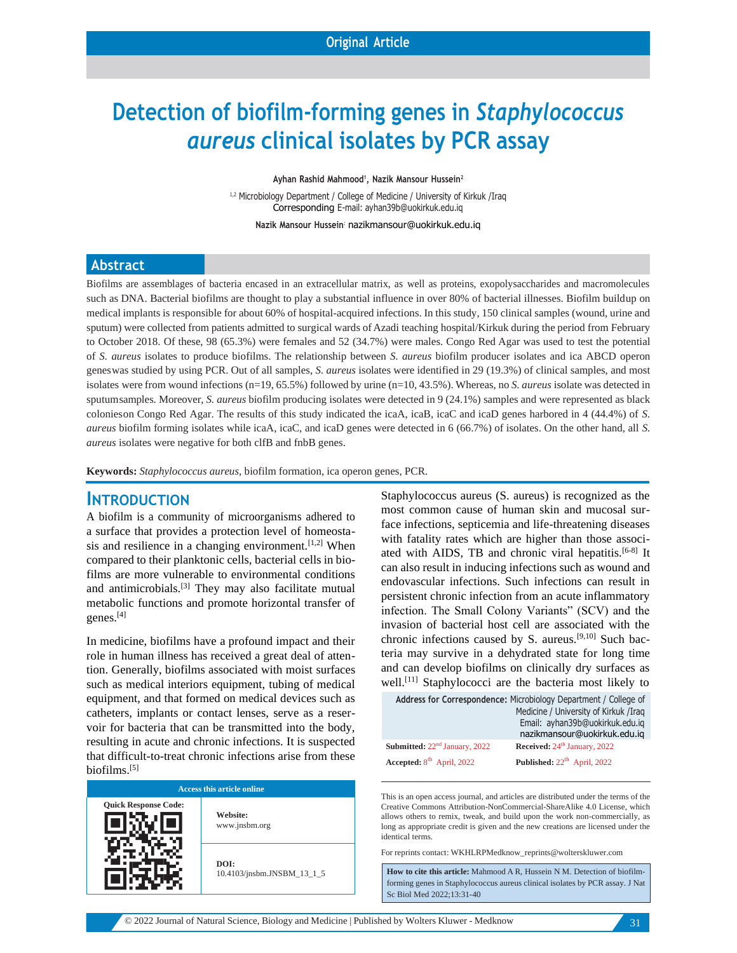# **Detection of biofilm-forming genes in** *Staphylococcus aureus* **clinical isolates by PCR assay**

**Ayhan Rashid Mahmood<sup>1</sup> , Nazik Mansour Hussein<sup>2</sup>**

<sup>1,2</sup> Microbiology Department / College of Medicine / University of Kirkuk /Irag Corresponding E-mail: [ayhan39b@uokirkuk.edu.iq](mailto:ayhan39b@uokirkuk.edu.iq)

**Nazik Mansour Hussein:** nazikmansour@uokirkuk.edu.iq

#### **Abstract**

Biofilms are assemblages of bacteria encased in an extracellular matrix, as well as proteins, exopolysaccharides and macromolecules such as DNA. Bacterial biofilms are thought to play a substantial influence in over 80% of bacterial illnesses. Biofilm buildup on medical implants is responsible for about 60% of hospital-acquired infections. In this study, 150 clinical samples (wound, urine and sputum) were collected from patients admitted to surgical wards of Azadi teaching hospital/Kirkuk during the period from February to October 2018. Of these, 98 (65.3%) were females and 52 (34.7%) were males. Congo Red Agar was used to test the potential of *S. aureus* isolates to produce biofilms. The relationship between *S. aureus* biofilm producer isolates and ica ABCD operon geneswas studied by using PCR. Out of all samples, *S. aureus* isolates were identified in 29 (19.3%) of clinical samples, and most isolates were from wound infections (n=19, 65.5%) followed by urine (n=10, 43.5%). Whereas, no *S. aureus* isolate was detected in sputumsamples. Moreover, *S. aureus* biofilm producing isolates were detected in 9 (24.1%) samples and were represented as black colonieson Congo Red Agar. The results of this study indicated the icaA, icaB, icaC and icaD genes harbored in 4 (44.4%) of *S. aureus* biofilm forming isolates while icaA, icaC, and icaD genes were detected in 6 (66.7%) of isolates. On the other hand, all *S. aureus* isolates were negative for both clfB and fnbB genes.

**Keywords:** *Staphylococcus aureus*, biofilm formation, ica operon genes, PCR.

#### **INTRODUCTION**

A biofilm is a community of microorganisms adhered to a surface that provides a protection level of homeostasis and resilience in a changing environment. $[1,2]$  When compared to their planktonic cells, bacterial cells in biofilms are more vulnerable to environmental conditions and antimicrobials.[3] They may also facilitate mutual metabolic functions and promote horizontal transfer of genes.[4]

In medicine, biofilms have a profound impact and their role in human illness has received a great deal of attention. Generally, biofilms associated with moist surfaces such as medical interiors equipment, tubing of medical equipment, and that formed on medical devices such as catheters, implants or contact lenses, serve as a reservoir for bacteria that can be transmitted into the body, resulting in acute and chronic infections. It is suspected that difficult-to-treat chronic infections arise from these biofilms.[5]

| <b>Access this article online</b> |                                    |  |  |  |
|-----------------------------------|------------------------------------|--|--|--|
| <b>Quick Response Code:</b>       | Website:<br>www.jnsbm.org          |  |  |  |
|                                   | DOI:<br>10.4103/jnsbm.JNSBM_13_1_5 |  |  |  |

Staphylococcus aureus (S. aureus) is recognized as the most common cause of human skin and mucosal surface infections, septicemia and life-threatening diseases with fatality rates which are higher than those associated with AIDS, TB and chronic viral hepatitis.<sup>[6-8]</sup> It can also result in inducing infections such as wound and endovascular infections. Such infections can result in persistent chronic infection from an acute inflammatory infection. The Small Colony Variants" (SCV) and the invasion of bacterial host cell are associated with the chronic infections caused by S. aureus.[9,10] Such bacteria may survive in a dehydrated state for long time and can develop biofilms on clinically dry surfaces as well.<sup>[11]</sup> Staphylococci are the bacteria most likely to

|                                           | Address for Correspondence: Microbiology Department / College of |
|-------------------------------------------|------------------------------------------------------------------|
|                                           | Medicine / University of Kirkuk /Iraq                            |
|                                           | Email: ayhan39b@uokirkuk.edu.ig                                  |
|                                           | nazikmansour@uokirkuk.edu.ig                                     |
| Submitted: 22 <sup>nd</sup> January, 2022 | Received: 24 <sup>th</sup> January, 2022                         |
| Accepted: $8th$ April, 2022               | <b>Published:</b> $22th$ April, 2022                             |

This is an open access journal, and articles are distributed under the terms of the Creative Commons Attribution-NonCommercial-ShareAlike 4.0 License, which allows others to remix, tweak, and build upon the work non-commercially, as long as appropriate credit is given and the new creations are licensed under the identical terms.

For reprints contact: [WKHLRPMedknow\\_reprints@wolterskluwer.com](mailto:WKHLRPMedknow_reprints@wolterskluwer.com)

**How to cite this article:** Mahmood A R, Hussein N M. Detection of biofilmforming genes in Staphylococcus aureus clinical isolates by PCR assay. J Nat Sc Biol Med 2022;13:31-40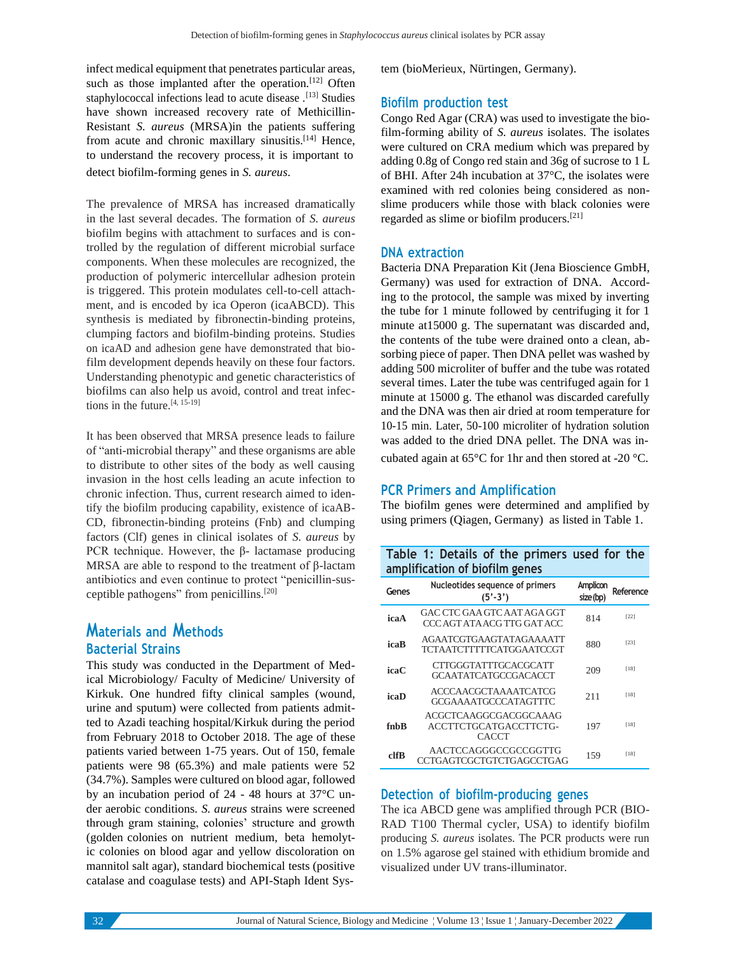infect medical equipment that penetrates particular areas, such as those implanted after the operation.<sup>[12]</sup> Often staphylococcal infections lead to acute disease .<sup>[13]</sup> Studies have shown increased recovery rate of Methicillin-Resistant *S. aureus* (MRSA)in the patients suffering from acute and chronic maxillary sinusitis.<sup>[14]</sup> Hence, to understand the recovery process, it is important to detect biofilm-forming genes in *S. aureus*.

The prevalence of MRSA has increased dramatically in the last several decades. The formation of *S. aureus* biofilm begins with attachment to surfaces and is controlled by the regulation of different microbial surface components. When these molecules are recognized, the production of polymeric intercellular adhesion protein is triggered. This protein modulates cell-to-cell attachment, and is encoded by ica Operon (icaABCD). This synthesis is mediated by fibronectin-binding proteins, clumping factors and biofilm-binding proteins. Studies on icaAD and adhesion gene have demonstrated that biofilm development depends heavily on these four factors. Understanding phenotypic and genetic characteristics of biofilms can also help us avoid, control and treat infections in the future.[4, 15-19]

It has been observed that MRSA presence leads to failure of "anti-microbial therapy" and these organisms are able to distribute to other sites of the body as well causing invasion in the host cells leading an acute infection to chronic infection. Thus, current research aimed to identify the biofilm producing capability, existence of icaAB-CD, fibronectin-binding proteins (Fnb) and clumping factors (Clf) genes in clinical isolates of *S. aureus* by PCR technique. However, the β- lactamase producing MRSA are able to respond to the treatment of β-lactam antibiotics and even continue to protect "penicillin-susceptible pathogens" from penicillins.[20]

### **Materials and Methods Bacterial Strains**

This study was conducted in the Department of Medical Microbiology/ Faculty of Medicine/ University of Kirkuk. One hundred fifty clinical samples (wound, urine and sputum) were collected from patients admitted to Azadi teaching hospital/Kirkuk during the period from February 2018 to October 2018. The age of these patients varied between 1-75 years. Out of 150, female patients were 98 (65.3%) and male patients were 52 (34.7%). Samples were cultured on blood agar, followed by an incubation period of 24 - 48 hours at 37°C under aerobic conditions. *S. aureus* strains were screened through gram staining, colonies' structure and growth (golden colonies on nutrient medium, beta hemolytic colonies on blood agar and yellow discoloration on mannitol salt agar), standard biochemical tests (positive catalase and coagulase tests) and API-Staph Ident System (bioMerieux, Nürtingen, Germany).

#### **Biofilm production test**

Congo Red Agar (CRA) was used to investigate the biofilm-forming ability of *S. aureus* isolates. The isolates were cultured on CRA medium which was prepared by adding 0.8g of Congo red stain and 36g of sucrose to 1 L of BHI. After 24h incubation at 37°C, the isolates were examined with red colonies being considered as nonslime producers while those with black colonies were regarded as slime or biofilm producers.[21]

#### **DNA extraction**

Bacteria DNA Preparation Kit (Jena Bioscience GmbH, Germany) was used for extraction of DNA. According to the protocol, the sample was mixed by inverting the tube for 1 minute followed by centrifuging it for 1 minute at15000 g. The supernatant was discarded and, the contents of the tube were drained onto a clean, absorbing piece of paper. Then DNA pellet was washed by adding 500 microliter of buffer and the tube was rotated several times. Later the tube was centrifuged again for 1 minute at 15000 g. The ethanol was discarded carefully and the DNA was then air dried at room temperature for 10-15 min. Later, 50-100 microliter of hydration solution was added to the dried DNA pellet. The DNA was incubated again at 65°C for 1hr and then stored at -20 °C.

#### **PCR Primers and Amplification**

The biofilm genes were determined and amplified by using primers (Qiagen, Germany) as listed in Table 1.

|                                |  |  |  | Table 1: Details of the primers used for the |  |  |
|--------------------------------|--|--|--|----------------------------------------------|--|--|
| amplification of biofilm genes |  |  |  |                                              |  |  |

| Genes | Nucleotides sequence of primers<br>$(5'-3')$               | Amplicon<br>size(bp) | Reference |
|-------|------------------------------------------------------------|----------------------|-----------|
| icaA  | GAC CTC GAA GTC AAT AGA GGT<br>CCC AGT ATA ACG TTG GAT ACC | 814                  | $[22]$    |
| icaB  | AGAATCGTGAAGTATAGAAAATT<br>TCTAATCTTTTTCATGGAATCCGT        | 880                  | [23]      |
| icaC  | CTTGGGTATTTGCACGCATT<br>GCAATATCATGCCGACACCT               | 209                  | [18]      |
| icaD  | ACCCAACGCTAAAATCATCG<br><b>GCGAAAATGCCCATAGTTTC</b>        | 211                  | [18]      |
| fnhB  | ACGCTCAAGGCGACGGCAAAG<br>ACCTTCTGCATGACCTTCTG-<br>CACCT    | 197                  | [18]      |
| clfB  | AACTCCAGGGCCGCCGGTTG<br>CCTGAGTCGCTGTCTGAGCCTGAG           | 159                  | [18]      |

#### **Detection of biofilm-producing genes**

The ica ABCD gene was amplified through PCR (BIO-RAD T100 Thermal cycler, USA) to identify biofilm producing *S. aureus* isolates. The PCR products were run on 1.5% agarose gel stained with ethidium bromide and visualized under UV trans-illuminator.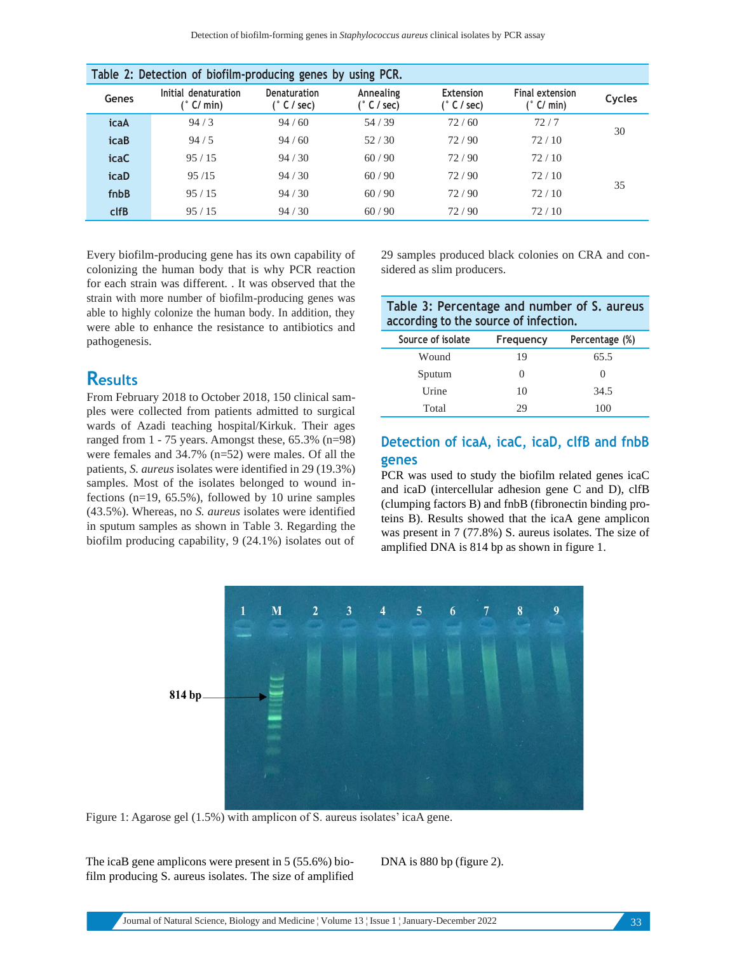| Table 2: Detection of biofilm-producing genes by using PCR. |                                      |                             |                          |                            |                                 |        |
|-------------------------------------------------------------|--------------------------------------|-----------------------------|--------------------------|----------------------------|---------------------------------|--------|
| Genes                                                       | Initial denaturation<br>$(°$ C/ min) | Denaturation<br>(° C / sec) | Annealing<br>(° C / sec) | Extension<br>$(°$ C / sec) | Final extension<br>$(°$ C/ min) | Cycles |
| icaA                                                        | 94/3                                 | 94/60                       | 54/39                    | 72/60                      | 72/7                            | 30     |
| <b>icaB</b>                                                 | 94/5                                 | 94/60                       | 52/30                    | 72/90                      | 72/10                           |        |
| <b>icaC</b>                                                 | 95/15                                | 94/30                       | 60/90                    | 72/90                      | 72/10                           |        |
| icaD                                                        | 95/15                                | 94/30                       | 60/90                    | 72/90                      | 72/10                           |        |
| fnbB                                                        | 95/15                                | 94/30                       | 60/90                    | 72/90                      | 72/10                           | 35     |
| clfB                                                        | 95/15                                | 94/30                       | 60/90                    | 72/90                      | 72/10                           |        |

Every biofilm-producing gene has its own capability of colonizing the human body that is why PCR reaction for each strain was different. . It was observed that the strain with more number of biofilm-producing genes was able to highly colonize the human body. In addition, they were able to enhance the resistance to antibiotics and pathogenesis.

# **Results**

From February 2018 to October 2018, 150 clinical samples were collected from patients admitted to surgical wards of Azadi teaching hospital/Kirkuk. Their ages ranged from 1 - 75 years. Amongst these, 65.3% (n=98) were females and 34.7% (n=52) were males. Of all the patients, *S. aureus* isolates were identified in 29 (19.3%) samples. Most of the isolates belonged to wound infections (n=19, 65.5%), followed by 10 urine samples (43.5%). Whereas, no *S. aureus* isolates were identified in sputum samples as shown in Table 3. Regarding the biofilm producing capability, 9 (24.1%) isolates out of 29 samples produced black colonies on CRA and considered as slim producers.

| Table 3: Percentage and number of S. aureus |  |
|---------------------------------------------|--|
| according to the source of infection.       |  |

| Source of isolate | Frequency    | Percentage (%) |
|-------------------|--------------|----------------|
| Wound             | 19           | 65.5           |
| Sputum            | $\mathbf{0}$ | O              |
| Urine             | 10           | 34.5           |
| Total             | 29           | 100            |

## **Detection of icaA, icaC, icaD, clfB and fnbB genes**

PCR was used to study the biofilm related genes icaC and icaD (intercellular adhesion gene C and D), clfB (clumping factors B) and fnbB (fibronectin binding proteins B). Results showed that the icaA gene amplicon was present in 7 (77.8%) S. aureus isolates. The size of amplified DNA is 814 bp as shown in figure 1.



Figure 1: Agarose gel (1.5%) with amplicon of S. aureus isolates' icaA gene.

The icaB gene amplicons were present in 5 (55.6%) biofilm producing S. aureus isolates. The size of amplified DNA is 880 bp (figure 2).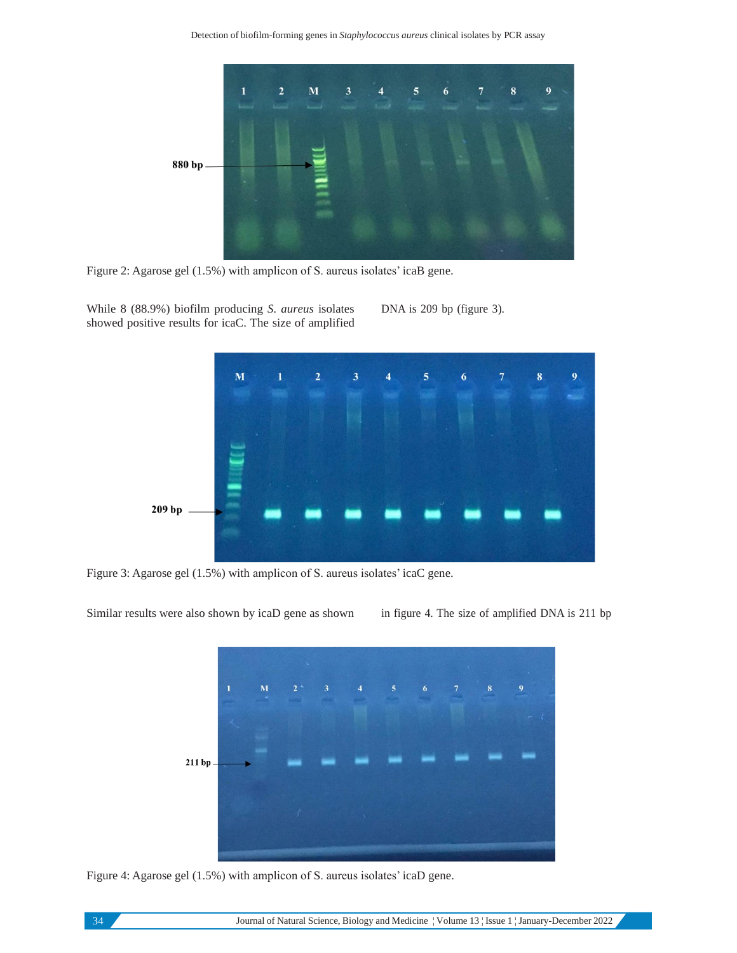

Figure 2: Agarose gel (1.5%) with amplicon of S. aureus isolates' icaB gene.

While 8 (88.9%) biofilm producing *S. aureus* isolates showed positive results for icaC. The size of amplified DNA is 209 bp (figure 3).



Figure 3: Agarose gel (1.5%) with amplicon of S. aureus isolates' icaC gene.

Similar results were also shown by icaD gene as shown in figure 4. The size of amplified DNA is 211 bp



Figure 4: Agarose gel (1.5%) with amplicon of S. aureus isolates' icaD gene.

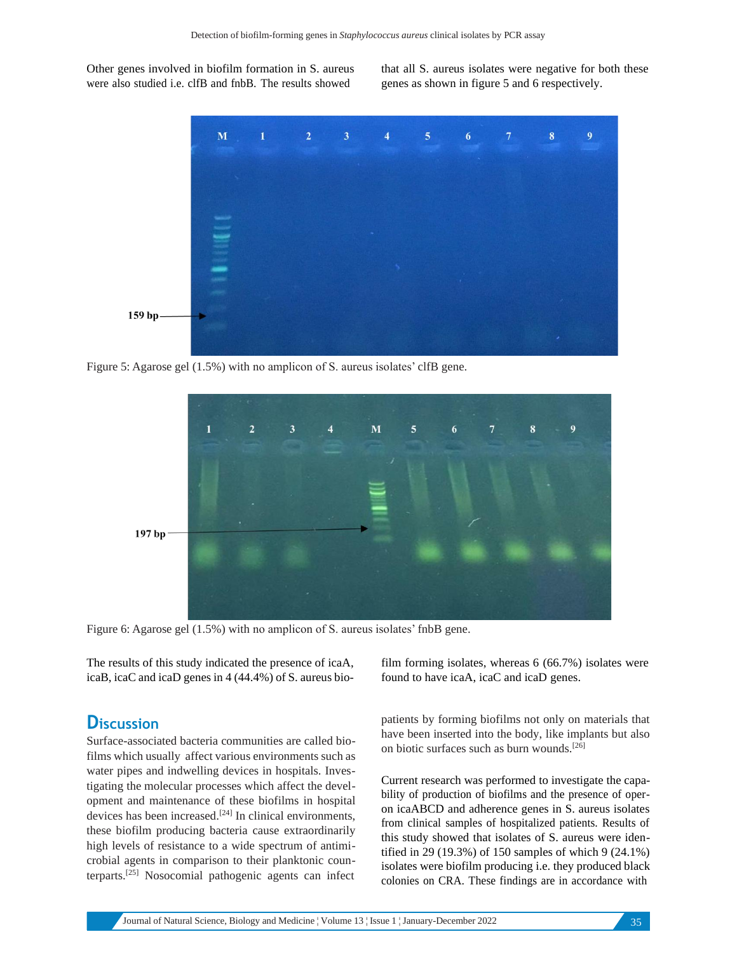Other genes involved in biofilm formation in S. aureus were also studied i.e. clfB and fnbB. The results showed

that all S. aureus isolates were negative for both these genes as shown in figure 5 and 6 respectively.



Figure 5: Agarose gel (1.5%) with no amplicon of S. aureus isolates' clfB gene.



Figure 6: Agarose gel (1.5%) with no amplicon of S. aureus isolates' fnbB gene.

The results of this study indicated the presence of icaA, icaB, icaC and icaD genes in 4 (44.4%) of S. aureus bio-

## **Discussion**

Surface-associated bacteria communities are called biofilms which usually affect various environments such as water pipes and indwelling devices in hospitals. Investigating the molecular processes which affect the development and maintenance of these biofilms in hospital devices has been increased.<sup>[24]</sup> In clinical environments, these biofilm producing bacteria cause extraordinarily high levels of resistance to a wide spectrum of antimicrobial agents in comparison to their planktonic counterparts.[25] Nosocomial pathogenic agents can infect

film forming isolates, whereas 6 (66.7%) isolates were found to have icaA, icaC and icaD genes.

patients by forming biofilms not only on materials that have been inserted into the body, like implants but also on biotic surfaces such as burn wounds.[26]

Current research was performed to investigate the capability of production of biofilms and the presence of operon icaABCD and adherence genes in S. aureus isolates from clinical samples of hospitalized patients. Results of this study showed that isolates of S. aureus were identified in 29 (19.3%) of 150 samples of which 9 (24.1%) isolates were biofilm producing i.e. they produced black colonies on CRA. These findings are in accordance with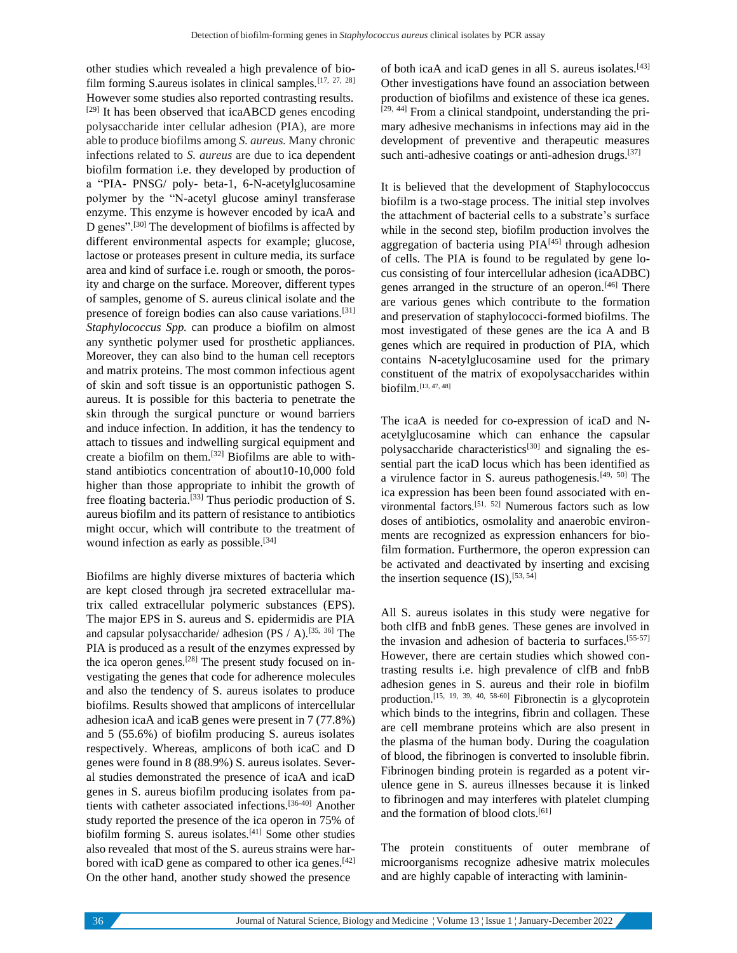other studies which revealed a high prevalence of biofilm forming S.aureus isolates in clinical samples.[17, 27, 28] However some studies also reported contrasting results. [29] It has been observed that icaABCD genes encoding polysaccharide inter cellular adhesion (PIA), are more able to produce biofilms among *S. aureus.* Many chronic infections related to *S. aureus* are due to ica dependent biofilm formation i.e. they developed by production of a "PIA- PNSG/ poly- beta-1, 6-N-acetylglucosamine polymer by the "N-acetyl glucose aminyl transferase enzyme. This enzyme is however encoded by icaA and D genes".[30] The development of biofilms is affected by different environmental aspects for example; glucose, lactose or proteases present in culture media, its surface area and kind of surface i.e. rough or smooth, the porosity and charge on the surface. Moreover, different types of samples, genome of S. aureus clinical isolate and the presence of foreign bodies can also cause variations.[31] *Staphylococcus Spp.* can produce a biofilm on almost any synthetic polymer used for prosthetic appliances. Moreover, they can also bind to the human cell receptors and matrix proteins. The most common infectious agent of skin and soft tissue is an opportunistic pathogen S. aureus. It is possible for this bacteria to penetrate the skin through the surgical puncture or wound barriers and induce infection. In addition, it has the tendency to attach to tissues and indwelling surgical equipment and create a biofilm on them.[32] Biofilms are able to withstand antibiotics concentration of about10-10,000 fold higher than those appropriate to inhibit the growth of free floating bacteria.[33] Thus periodic production of S. aureus biofilm and its pattern of resistance to antibiotics might occur, which will contribute to the treatment of wound infection as early as possible.<sup>[34]</sup>

Biofilms are highly diverse mixtures of bacteria which are kept closed through jra secreted extracellular matrix called extracellular polymeric substances (EPS). The major EPS in S. aureus and S. epidermidis are PIA and capsular polysaccharide/ adhesion (PS / A).<sup>[35, 36]</sup> The PIA is produced as a result of the enzymes expressed by the ica operon genes.<sup>[28]</sup> The present study focused on investigating the genes that code for adherence molecules and also the tendency of S. aureus isolates to produce biofilms. Results showed that amplicons of intercellular adhesion icaA and icaB genes were present in 7 (77.8%) and 5 (55.6%) of biofilm producing S. aureus isolates respectively. Whereas, amplicons of both icaC and D genes were found in 8 (88.9%) S. aureus isolates. Several studies demonstrated the presence of icaA and icaD genes in S. aureus biofilm producing isolates from patients with catheter associated infections.[36-40] Another study reported the presence of the ica operon in 75% of biofilm forming S. aureus isolates.<sup>[41]</sup> Some other studies also revealed that most of the S. aureus strains were harbored with icaD gene as compared to other ica genes.<sup>[42]</sup> On the other hand, another study showed the presence

of both icaA and icaD genes in all S. aureus isolates.[43] Other investigations have found an association between production of biofilms and existence of these ica genes. [29, 44] From a clinical standpoint, understanding the primary adhesive mechanisms in infections may aid in the development of preventive and therapeutic measures such anti-adhesive coatings or anti-adhesion drugs.<sup>[37]</sup>

It is believed that the development of Staphylococcus biofilm is a two-stage process. The initial step involves the attachment of bacterial cells to a substrate's surface while in the second step, biofilm production involves the aggregation of bacteria using  $PIA^{[45]}$  through adhesion of cells. The PIA is found to be regulated by gene locus consisting of four intercellular adhesion (icaADBC) genes arranged in the structure of an operon.<sup>[46]</sup> There are various genes which contribute to the formation and preservation of staphylococci-formed biofilms. The most investigated of these genes are the ica A and B genes which are required in production of PIA, which contains N-acetylglucosamine used for the primary constituent of the matrix of exopolysaccharides within biofilm.[13, 47, 48]

The icaA is needed for co-expression of icaD and Nacetylglucosamine which can enhance the capsular polysaccharide characteristics $[30]$  and signaling the essential part the icaD locus which has been identified as a virulence factor in S. aureus pathogenesis.[49, 50] The ica expression has been been found associated with environmental factors.[51, 52] Numerous factors such as low doses of antibiotics, osmolality and anaerobic environments are recognized as expression enhancers for biofilm formation. Furthermore, the operon expression can be activated and deactivated by inserting and excising the insertion sequence  $(IS)$ ,  $[53, 54]$ 

All S. aureus isolates in this study were negative for both clfB and fnbB genes. These genes are involved in the invasion and adhesion of bacteria to surfaces.[55-57] However, there are certain studies which showed contrasting results i.e. high prevalence of clfB and fnbB adhesion genes in S. aureus and their role in biofilm production.[15, 19, 39, 40, 58-60] Fibronectin is a glycoprotein which binds to the integrins, fibrin and collagen. These are cell membrane proteins which are also present in the plasma of the human body. During the coagulation of blood, the fibrinogen is converted to insoluble fibrin. Fibrinogen binding protein is regarded as a potent virulence gene in S. aureus illnesses because it is linked to fibrinogen and may interferes with platelet clumping and the formation of blood clots.<sup>[61]</sup>

The protein constituents of outer membrane of microorganisms recognize adhesive matrix molecules and are highly capable of interacting with laminin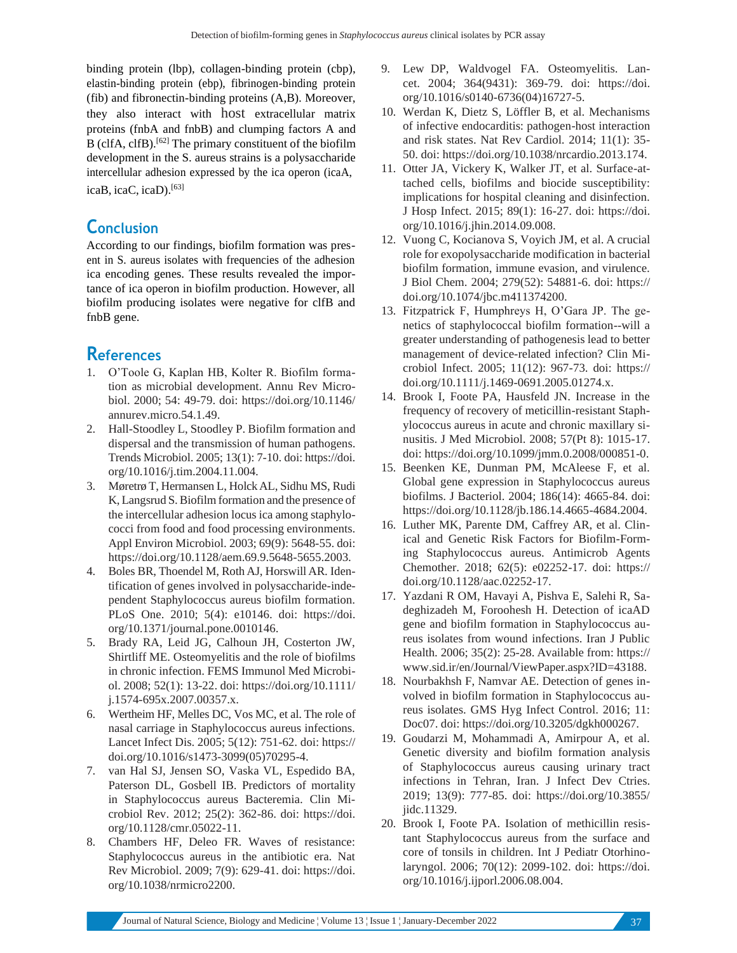binding protein (lbp), collagen-binding protein (cbp), elastin-binding protein (ebp), fibrinogen-binding protein (fib) and fibronectin-binding proteins (A,B). Moreover, they also interact with host extracellular matrix proteins (fnbA and fnbB) and clumping factors A and B (clfA, clfB).<sup>[62]</sup> The primary constituent of the biofilm development in the S. aureus strains is a polysaccharide intercellular adhesion expressed by the ica operon (icaA, icaB, icaC, icaD).[63]

# **Conclusion**

According to our findings, biofilm formation was present in S. aureus isolates with frequencies of the adhesion ica encoding genes. These results revealed the importance of ica operon in biofilm production. However, all biofilm producing isolates were negative for clfB and fnbB gene.

# **References**

- 1. O'Toole G, Kaplan HB, Kolter R. Biofilm formation as microbial development. Annu Rev Microbiol. 2000; 54: 49-79. doi: https://doi.org/10.1146/ annurev.micro.54.1.49.
- 2. Hall-Stoodley L, Stoodley P. Biofilm formation and dispersal and the transmission of human pathogens. Trends Microbiol. 2005; 13(1): 7-10. doi: https://doi. org/10.1016/j.tim.2004.11.004.
- 3. Møretrø T, Hermansen L, HolckAL, Sidhu MS, Rudi K, Langsrud S. Biofilm formation and the presence of the intercellular adhesion locus ica among staphylococci from food and food processing environments. Appl Environ Microbiol. 2003; 69(9): 5648-55. doi: https://doi.org/10.1128/aem.69.9.5648-5655.2003.
- 4. Boles BR, Thoendel M, Roth AJ, Horswill AR. Identification of genes involved in polysaccharide-independent Staphylococcus aureus biofilm formation. PLoS One. 2010; 5(4): e10146. doi: https://doi. org/10.1371/journal.pone.0010146.
- 5. Brady RA, Leid JG, Calhoun JH, Costerton JW, Shirtliff ME. Osteomyelitis and the role of biofilms in chronic infection. FEMS Immunol Med Microbiol. 2008; 52(1): 13-22. doi: https://doi.org/10.1111/ j.1574-695x.2007.00357.x.
- 6. Wertheim HF, Melles DC, Vos MC, et al. The role of nasal carriage in Staphylococcus aureus infections. Lancet Infect Dis. 2005; 5(12): 751-62. doi: https:// doi.org/10.1016/s1473-3099(05)70295-4.
- 7. van Hal SJ, Jensen SO, Vaska VL, Espedido BA, Paterson DL, Gosbell IB. Predictors of mortality in Staphylococcus aureus Bacteremia. Clin Microbiol Rev. 2012; 25(2): 362-86. doi: https://doi. org/10.1128/cmr.05022-11.
- 8. Chambers HF, Deleo FR. Waves of resistance: Staphylococcus aureus in the antibiotic era. Nat Rev Microbiol. 2009; 7(9): 629-41. doi: https://doi. org/10.1038/nrmicro2200.
- 9. Lew DP, Waldvogel FA. Osteomyelitis. Lancet. 2004; 364(9431): 369-79. doi: https://doi. org/10.1016/s0140-6736(04)16727-5.
- 10. Werdan K, Dietz S, Löffler B, et al. Mechanisms of infective endocarditis: pathogen-host interaction and risk states. Nat Rev Cardiol. 2014; 11(1): 35- 50. doi: https://doi.org/10.1038/nrcardio.2013.174.
- 11. Otter JA, Vickery K, Walker JT, et al. Surface-attached cells, biofilms and biocide susceptibility: implications for hospital cleaning and disinfection. J Hosp Infect. 2015; 89(1): 16-27. doi: https://doi. org/10.1016/j.jhin.2014.09.008.
- 12. Vuong C, Kocianova S, Voyich JM, et al. A crucial role for exopolysaccharide modification in bacterial biofilm formation, immune evasion, and virulence. J Biol Chem. 2004; 279(52): 54881-6. doi: https:// doi.org/10.1074/jbc.m411374200.
- 13. Fitzpatrick F, Humphreys H, O'Gara JP. The genetics of staphylococcal biofilm formation--will a greater understanding of pathogenesis lead to better management of device-related infection? Clin Microbiol Infect. 2005; 11(12): 967-73. doi: https:// doi.org/10.1111/j.1469-0691.2005.01274.x.
- 14. Brook I, Foote PA, Hausfeld JN. Increase in the frequency of recovery of meticillin-resistant Staphylococcus aureus in acute and chronic maxillary sinusitis. J Med Microbiol. 2008; 57(Pt 8): 1015-17. doi: https://doi.org/10.1099/jmm.0.2008/000851-0.
- 15. Beenken KE, Dunman PM, McAleese F, et al. Global gene expression in Staphylococcus aureus biofilms. J Bacteriol. 2004; 186(14): 4665-84. doi: https://doi.org/10.1128/jb.186.14.4665-4684.2004.
- 16. Luther MK, Parente DM, Caffrey AR, et al. Clinical and Genetic Risk Factors for Biofilm-Forming Staphylococcus aureus. Antimicrob Agents Chemother. 2018; 62(5): e02252-17. doi: https:// doi.org/10.1128/aac.02252-17.
- 17. Yazdani R OM, Havayi A, Pishva E, Salehi R, Sadeghizadeh M, Foroohesh H. Detection of icaAD gene and biofilm formation in Staphylococcus aureus isolates from wound infections. Iran J Public Health. 2006; 35(2): 25-28. Available from: https:// [www.sid.ir/en/Journal/ViewPaper.aspx?ID=43188.](http://www.sid.ir/en/Journal/ViewPaper.aspx?ID=43188)
- 18. Nourbakhsh F, Namvar AE. Detection of genes involved in biofilm formation in Staphylococcus aureus isolates. GMS Hyg Infect Control. 2016; 11: Doc07. doi: https://doi.org/10.3205/dgkh000267.
- 19. Goudarzi M, Mohammadi A, Amirpour A, et al. Genetic diversity and biofilm formation analysis of Staphylococcus aureus causing urinary tract infections in Tehran, Iran. J Infect Dev Ctries. 2019; 13(9): 777-85. doi: https://doi.org/10.3855/ jidc.11329.
- 20. Brook I, Foote PA. Isolation of methicillin resistant Staphylococcus aureus from the surface and core of tonsils in children. Int J Pediatr Otorhinolaryngol. 2006; 70(12): 2099-102. doi: https://doi. org/10.1016/j.ijporl.2006.08.004.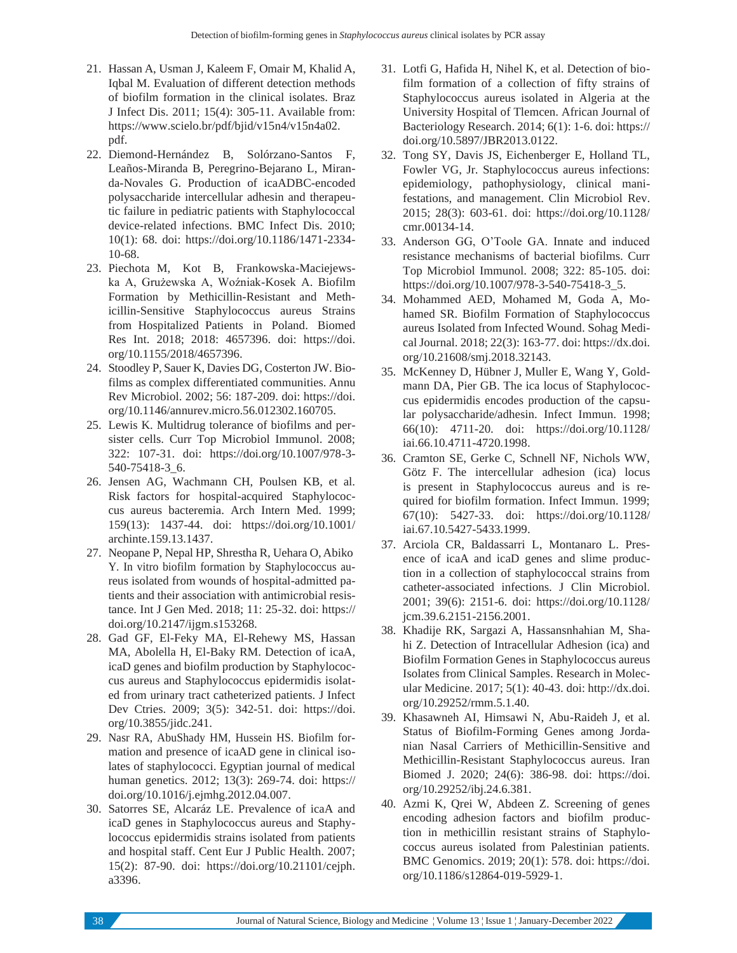- 21. Hassan A, Usman J, Kaleem F, Omair M, Khalid A, Iqbal M. Evaluation of different detection methods of biofilm formation in the clinical isolates. Braz J Infect Dis. 2011; 15(4): 305-11. Available from: https:/[/www.scielo.br/pdf/bjid/v15n4/v15n4a02.](http://www.scielo.br/pdf/bjid/v15n4/v15n4a02) pdf.
- 22. Diemond-Hernández B, Solórzano-Santos F, Leaños-Miranda B, Peregrino-Bejarano L, Miranda-Novales G. Production of icaADBC-encoded polysaccharide intercellular adhesin and therapeutic failure in pediatric patients with Staphylococcal device-related infections. BMC Infect Dis. 2010; 10(1): 68. doi: https://doi.org/10.1186/1471-2334- 10-68.
- 23. Piechota M, Kot B, Frankowska-Maciejewska A, Grużewska A, Woźniak-Kosek A. Biofilm Formation by Methicillin-Resistant and Methicillin-Sensitive Staphylococcus aureus Strains from Hospitalized Patients in Poland. Biomed Res Int. 2018; 2018: 4657396. doi: https://doi. org/10.1155/2018/4657396.
- 24. Stoodley P, Sauer K, Davies DG, Costerton JW. Biofilms as complex differentiated communities. Annu Rev Microbiol. 2002; 56: 187-209. doi: https://doi. org/10.1146/annurev.micro.56.012302.160705.
- 25. Lewis K. Multidrug tolerance of biofilms and persister cells. Curr Top Microbiol Immunol. 2008; 322: 107-31. doi: https://doi.org/10.1007/978-3- 540-75418-3\_6.
- 26. Jensen AG, Wachmann CH, Poulsen KB, et al. Risk factors for hospital-acquired Staphylococcus aureus bacteremia. Arch Intern Med. 1999; 159(13): 1437-44. doi: https://doi.org/10.1001/ archinte.159.13.1437.
- 27. Neopane P, Nepal HP, Shrestha R, Uehara O, Abiko Y. In vitro biofilm formation by Staphylococcus aureus isolated from wounds of hospital-admitted patients and their association with antimicrobial resistance. Int J Gen Med. 2018; 11: 25-32. doi: https:// doi.org/10.2147/ijgm.s153268.
- 28. Gad GF, El-Feky MA, El-Rehewy MS, Hassan MA, Abolella H, El-Baky RM. Detection of icaA, icaD genes and biofilm production by Staphylococcus aureus and Staphylococcus epidermidis isolated from urinary tract catheterized patients. J Infect Dev Ctries. 2009; 3(5): 342-51. doi: https://doi. org/10.3855/jidc.241.
- 29. Nasr RA, AbuShady HM, Hussein HS. Biofilm formation and presence of icaAD gene in clinical isolates of staphylococci. Egyptian journal of medical human genetics. 2012; 13(3): 269-74. doi: https:// doi.org/10.1016/j.ejmhg.2012.04.007.
- 30. Satorres SE, Alcaráz LE. Prevalence of icaA and icaD genes in Staphylococcus aureus and Staphylococcus epidermidis strains isolated from patients and hospital staff. Cent Eur J Public Health. 2007; 15(2): 87-90. doi: https://doi.org/10.21101/cejph. a3396.
- 31. Lotfi G, Hafida H, Nihel K, et al. Detection of biofilm formation of a collection of fifty strains of Staphylococcus aureus isolated in Algeria at the University Hospital of Tlemcen. African Journal of Bacteriology Research. 2014; 6(1): 1-6. doi: https:// doi.org/10.5897/JBR2013.0122.
- 32. Tong SY, Davis JS, Eichenberger E, Holland TL, Fowler VG, Jr. Staphylococcus aureus infections: epidemiology, pathophysiology, clinical manifestations, and management. Clin Microbiol Rev. 2015; 28(3): 603-61. doi: https://doi.org/10.1128/ cmr.00134-14.
- 33. Anderson GG, O'Toole GA. Innate and induced resistance mechanisms of bacterial biofilms. Curr Top Microbiol Immunol. 2008; 322: 85-105. doi: https://doi.org/10.1007/978-3-540-75418-3\_5.
- 34. Mohammed AED, Mohamed M, Goda A, Mohamed SR. Biofilm Formation of Staphylococcus aureus Isolated from Infected Wound. Sohag Medical Journal. 2018; 22(3): 163-77. doi: https://dx.doi. org/10.21608/smj.2018.32143.
- 35. McKenney D, Hübner J, Muller E, Wang Y, Goldmann DA, Pier GB. The ica locus of Staphylococcus epidermidis encodes production of the capsular polysaccharide/adhesin. Infect Immun. 1998; 66(10): 4711-20. doi: https://doi.org/10.1128/ iai.66.10.4711-4720.1998.
- 36. Cramton SE, Gerke C, Schnell NF, Nichols WW, Götz F. The intercellular adhesion (ica) locus is present in Staphylococcus aureus and is required for biofilm formation. Infect Immun. 1999; 67(10): 5427-33. doi: https://doi.org/10.1128/ iai.67.10.5427-5433.1999.
- 37. Arciola CR, Baldassarri L, Montanaro L. Presence of icaA and icaD genes and slime production in a collection of staphylococcal strains from catheter-associated infections. J Clin Microbiol. 2001; 39(6): 2151-6. doi: https://doi.org/10.1128/ jcm.39.6.2151-2156.2001.
- 38. Khadije RK, Sargazi A, Hassansnhahian M, Shahi Z. Detection of Intracellular Adhesion (ica) and Biofilm Formation Genes in Staphylococcus aureus Isolates from Clinical Samples. Research in Molecular Medicine. 2017; 5(1): 40-43. doi: [http://dx.doi.](http://dx.doi/) org/10.29252/rmm.5.1.40.
- 39. Khasawneh AI, Himsawi N, Abu-Raideh J, et al. Status of Biofilm-Forming Genes among Jordanian Nasal Carriers of Methicillin-Sensitive and Methicillin-Resistant Staphylococcus aureus. Iran Biomed J. 2020; 24(6): 386-98. doi: https://doi. org/10.29252/ibj.24.6.381.
- 40. Azmi K, Qrei W, Abdeen Z. Screening of genes encoding adhesion factors and biofilm production in methicillin resistant strains of Staphylococcus aureus isolated from Palestinian patients. BMC Genomics. 2019; 20(1): 578. doi: https://doi. org/10.1186/s12864-019-5929-1.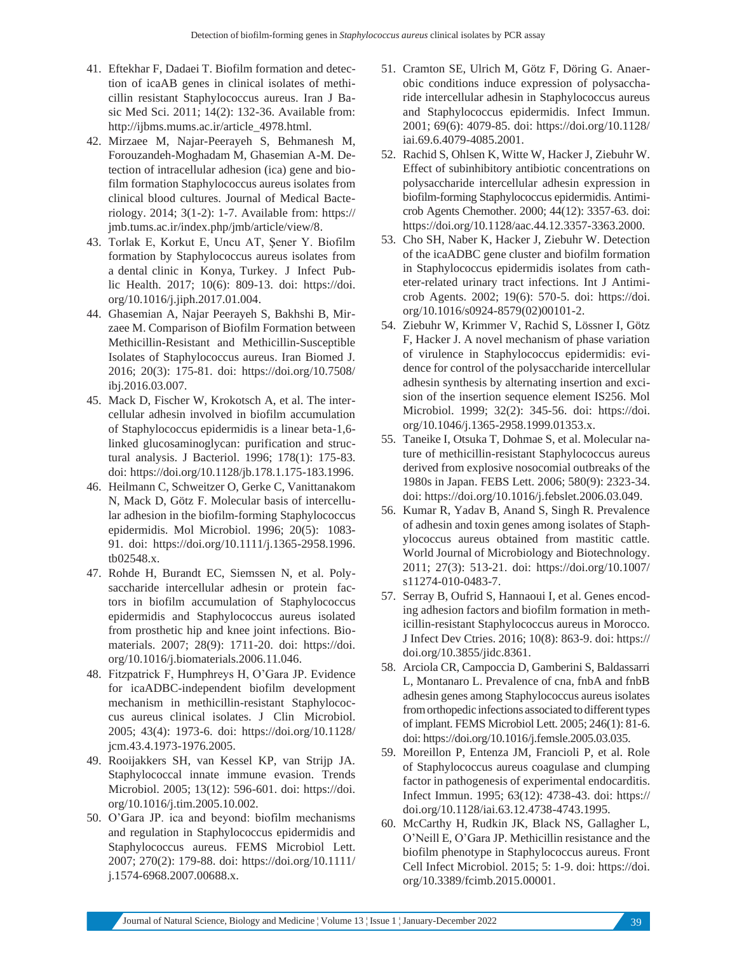- 41. Eftekhar F, Dadaei T. Biofilm formation and detection of icaAB genes in clinical isolates of methicillin resistant Staphylococcus aureus. Iran J Basic Med Sci. 2011; 14(2): 132-36. Available from: [http://ijbms.mums.ac.ir/article\\_4978.html.](http://ijbms.mums.ac.ir/article_4978.html)
- 42. Mirzaee M, Najar-Peerayeh S, Behmanesh M, Forouzandeh-Moghadam M, Ghasemian A-M. Detection of intracellular adhesion (ica) gene and biofilm formation Staphylococcus aureus isolates from clinical blood cultures. Journal of Medical Bacteriology. 2014; 3(1-2): 1-7. Available from: https:// jmb.tums.ac.ir/index.php/jmb/article/view/8.
- 43. Torlak E, Korkut E, Uncu AT, Şener Y. Biofilm formation by Staphylococcus aureus isolates from a dental clinic in Konya, Turkey. J Infect Public Health. 2017; 10(6): 809-13. doi: https://doi. org/10.1016/j.jiph.2017.01.004.
- 44. Ghasemian A, Najar Peerayeh S, Bakhshi B, Mirzaee M. Comparison of Biofilm Formation between Methicillin-Resistant and Methicillin-Susceptible Isolates of Staphylococcus aureus. Iran Biomed J. 2016; 20(3): 175-81. doi: https://doi.org/10.7508/ ibj.2016.03.007.
- 45. Mack D, Fischer W, Krokotsch A, et al. The intercellular adhesin involved in biofilm accumulation of Staphylococcus epidermidis is a linear beta-1,6 linked glucosaminoglycan: purification and structural analysis. J Bacteriol. 1996; 178(1): 175-83. doi: https://doi.org/10.1128/jb.178.1.175-183.1996.
- 46. Heilmann C, Schweitzer O, Gerke C, Vanittanakom N, Mack D, Götz F. Molecular basis of intercellular adhesion in the biofilm-forming Staphylococcus epidermidis. Mol Microbiol. 1996; 20(5): 1083- 91. doi: https://doi.org/10.1111/j.1365-2958.1996. tb02548.x.
- 47. Rohde H, Burandt EC, Siemssen N, et al. Polysaccharide intercellular adhesin or protein factors in biofilm accumulation of Staphylococcus epidermidis and Staphylococcus aureus isolated from prosthetic hip and knee joint infections. Biomaterials. 2007; 28(9): 1711-20. doi: https://doi. org/10.1016/j.biomaterials.2006.11.046.
- 48. Fitzpatrick F, Humphreys H, O'Gara JP. Evidence for icaADBC-independent biofilm development mechanism in methicillin-resistant Staphylococcus aureus clinical isolates. J Clin Microbiol. 2005; 43(4): 1973-6. doi: https://doi.org/10.1128/ jcm.43.4.1973-1976.2005.
- 49. Rooijakkers SH, van Kessel KP, van Strijp JA. Staphylococcal innate immune evasion. Trends Microbiol. 2005; 13(12): 596-601. doi: https://doi. org/10.1016/j.tim.2005.10.002.
- 50. O'Gara JP. ica and beyond: biofilm mechanisms and regulation in Staphylococcus epidermidis and Staphylococcus aureus. FEMS Microbiol Lett. 2007; 270(2): 179-88. doi: https://doi.org/10.1111/ j.1574-6968.2007.00688.x.
- 51. Cramton SE, Ulrich M, Götz F, Döring G. Anaerobic conditions induce expression of polysaccharide intercellular adhesin in Staphylococcus aureus and Staphylococcus epidermidis. Infect Immun. 2001; 69(6): 4079-85. doi: https://doi.org/10.1128/ iai.69.6.4079-4085.2001.
- 52. Rachid S, Ohlsen K, Witte W, Hacker J, Ziebuhr W. Effect of subinhibitory antibiotic concentrations on polysaccharide intercellular adhesin expression in biofilm-forming Staphylococcus epidermidis. Antimicrob Agents Chemother. 2000; 44(12): 3357-63. doi: https://doi.org/10.1128/aac.44.12.3357-3363.2000.
- 53. Cho SH, Naber K, Hacker J, Ziebuhr W. Detection of the icaADBC gene cluster and biofilm formation in Staphylococcus epidermidis isolates from catheter-related urinary tract infections. Int J Antimicrob Agents. 2002; 19(6): 570-5. doi: https://doi. org/10.1016/s0924-8579(02)00101-2.
- 54. Ziebuhr W, Krimmer V, Rachid S, Lössner I, Götz F, Hacker J. A novel mechanism of phase variation of virulence in Staphylococcus epidermidis: evidence for control of the polysaccharide intercellular adhesin synthesis by alternating insertion and excision of the insertion sequence element IS256. Mol Microbiol. 1999; 32(2): 345-56. doi: https://doi. org/10.1046/j.1365-2958.1999.01353.x.
- 55. Taneike I, Otsuka T, Dohmae S, et al. Molecular nature of methicillin-resistant Staphylococcus aureus derived from explosive nosocomial outbreaks of the 1980s in Japan. FEBS Lett. 2006; 580(9): 2323-34. doi: https://doi.org/10.1016/j.febslet.2006.03.049.
- 56. Kumar R, Yadav B, Anand S, Singh R. Prevalence of adhesin and toxin genes among isolates of Staphylococcus aureus obtained from mastitic cattle. World Journal of Microbiology and Biotechnology. 2011; 27(3): 513-21. doi: https://doi.org/10.1007/ s11274-010-0483-7.
- 57. Serray B, Oufrid S, Hannaoui I, et al. Genes encoding adhesion factors and biofilm formation in methicillin-resistant Staphylococcus aureus in Morocco. J Infect Dev Ctries. 2016; 10(8): 863-9. doi: https:// doi.org/10.3855/jidc.8361.
- 58. Arciola CR, Campoccia D, Gamberini S, Baldassarri L, Montanaro L. Prevalence of cna, fnbA and fnbB adhesin genes among Staphylococcus aureus isolates fromorthopedic infections associated to different types of implant. FEMS Microbiol Lett. 2005; 246(1): 81-6. doi: https://doi.org/10.1016/j.femsle.2005.03.035.
- 59. Moreillon P, Entenza JM, Francioli P, et al. Role of Staphylococcus aureus coagulase and clumping factor in pathogenesis of experimental endocarditis. Infect Immun. 1995; 63(12): 4738-43. doi: https:// doi.org/10.1128/iai.63.12.4738-4743.1995.
- 60. McCarthy H, Rudkin JK, Black NS, Gallagher L, O'Neill E, O'Gara JP. Methicillin resistance and the biofilm phenotype in Staphylococcus aureus. Front Cell Infect Microbiol. 2015; 5: 1-9. doi: https://doi. org/10.3389/fcimb.2015.00001.